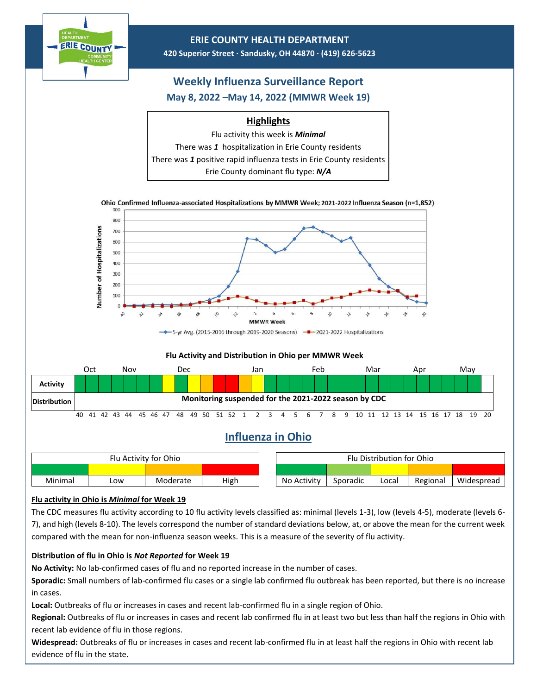

## **Flu activity in Ohio is** *Minimal* **for Week 19**

The CDC measures flu activity according to 10 flu activity levels classified as: minimal (levels 1-3), low (levels 4-5), moderate (levels 6- 7), and high (levels 8-10). The levels correspond the number of standard deviations below, at, or above the mean for the current week compared with the mean for non-influenza season weeks. This is a measure of the severity of flu activity.

## **Distribution of flu in Ohio is** *Not Reported* **for Week 19**

**No Activity:** No lab-confirmed cases of flu and no reported increase in the number of cases.

**Sporadic:** Small numbers of lab-confirmed flu cases or a single lab confirmed flu outbreak has been reported, but there is no increase in cases.

**Local:** Outbreaks of flu or increases in cases and recent lab-confirmed flu in a single region of Ohio.

**Regional:** Outbreaks of flu or increases in cases and recent lab confirmed flu in at least two but less than half the regions in Ohio with recent lab evidence of flu in those regions.

**Widespread:** Outbreaks of flu or increases in cases and recent lab-confirmed flu in at least half the regions in Ohio with recent lab evidence of flu in the state.